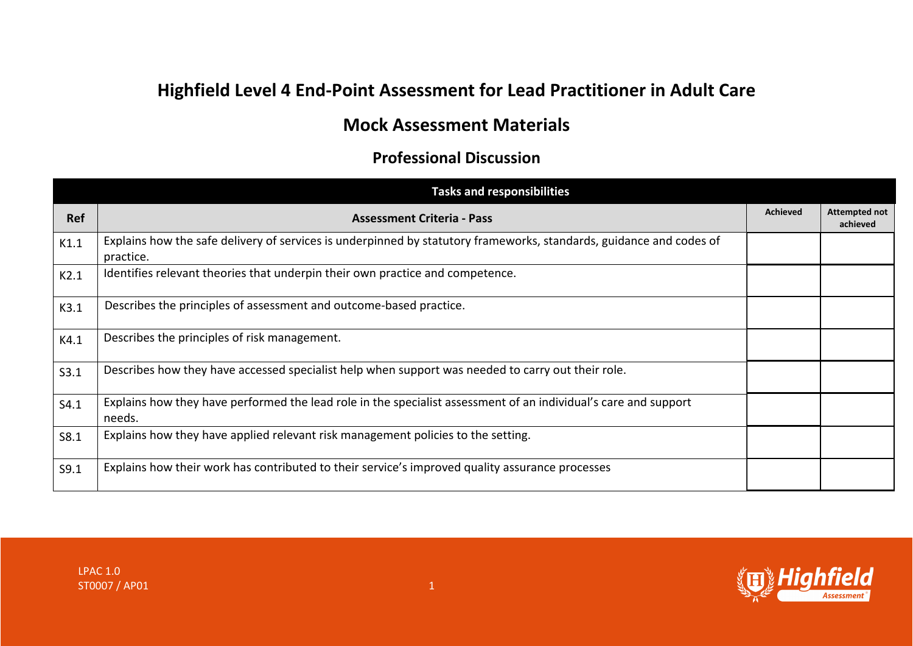## **Highfield Level 4 End-Point Assessment for Lead Practitioner in Adult Care**

## **Mock Assessment Materials**

## **Professional Discussion**

|      | <b>Tasks and responsibilities</b>                                                                                                |                 |                                  |
|------|----------------------------------------------------------------------------------------------------------------------------------|-----------------|----------------------------------|
| Ref  | <b>Assessment Criteria - Pass</b>                                                                                                | <b>Achieved</b> | <b>Attempted not</b><br>achieved |
| K1.1 | Explains how the safe delivery of services is underpinned by statutory frameworks, standards, guidance and codes of<br>practice. |                 |                                  |
| K2.1 | Identifies relevant theories that underpin their own practice and competence.                                                    |                 |                                  |
| K3.1 | Describes the principles of assessment and outcome-based practice.                                                               |                 |                                  |
| K4.1 | Describes the principles of risk management.                                                                                     |                 |                                  |
| S3.1 | Describes how they have accessed specialist help when support was needed to carry out their role.                                |                 |                                  |
| S4.1 | Explains how they have performed the lead role in the specialist assessment of an individual's care and support<br>needs.        |                 |                                  |
| S8.1 | Explains how they have applied relevant risk management policies to the setting.                                                 |                 |                                  |
| S9.1 | Explains how their work has contributed to their service's improved quality assurance processes                                  |                 |                                  |

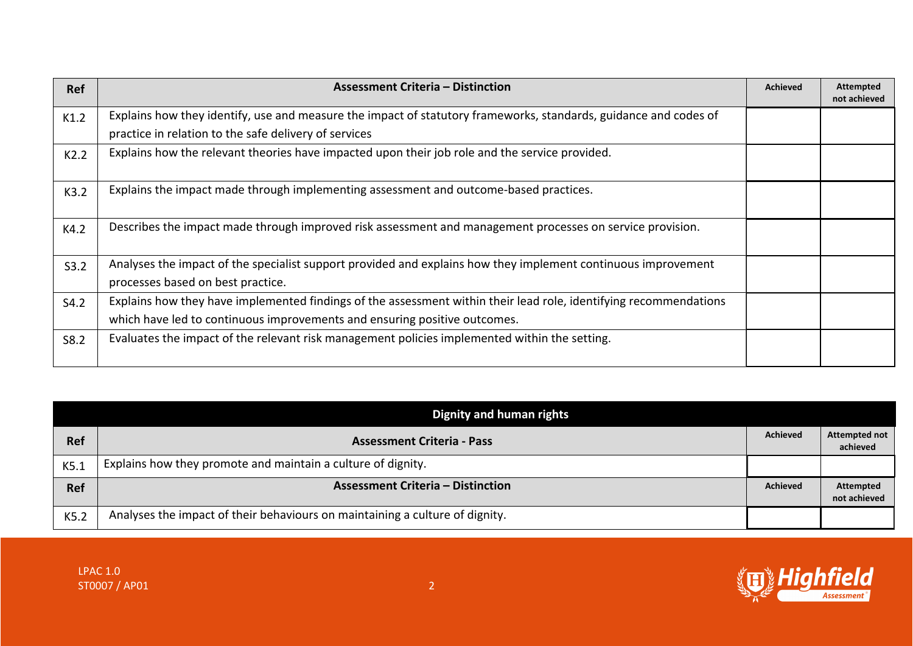| <b>Ref</b> | <b>Assessment Criteria - Distinction</b>                                                                                                                                                       | <b>Achieved</b> | <b>Attempted</b><br>not achieved |
|------------|------------------------------------------------------------------------------------------------------------------------------------------------------------------------------------------------|-----------------|----------------------------------|
| K1.2       | Explains how they identify, use and measure the impact of statutory frameworks, standards, guidance and codes of<br>practice in relation to the safe delivery of services                      |                 |                                  |
| K2.2       | Explains how the relevant theories have impacted upon their job role and the service provided.                                                                                                 |                 |                                  |
| K3.2       | Explains the impact made through implementing assessment and outcome-based practices.                                                                                                          |                 |                                  |
| K4.2       | Describes the impact made through improved risk assessment and management processes on service provision.                                                                                      |                 |                                  |
| S3.2       | Analyses the impact of the specialist support provided and explains how they implement continuous improvement<br>processes based on best practice.                                             |                 |                                  |
| S4.2       | Explains how they have implemented findings of the assessment within their lead role, identifying recommendations<br>which have led to continuous improvements and ensuring positive outcomes. |                 |                                  |
| S8.2       | Evaluates the impact of the relevant risk management policies implemented within the setting.                                                                                                  |                 |                                  |

|            | Dignity and human rights                                                     |                 |                                  |
|------------|------------------------------------------------------------------------------|-----------------|----------------------------------|
| <b>Ref</b> | <b>Assessment Criteria - Pass</b>                                            | <b>Achieved</b> | Attempted not<br>achieved        |
| K5.1       | Explains how they promote and maintain a culture of dignity.                 |                 |                                  |
| <b>Ref</b> | <b>Assessment Criteria – Distinction</b>                                     | <b>Achieved</b> | <b>Attempted</b><br>not achieved |
| K5.2       | Analyses the impact of their behaviours on maintaining a culture of dignity. |                 |                                  |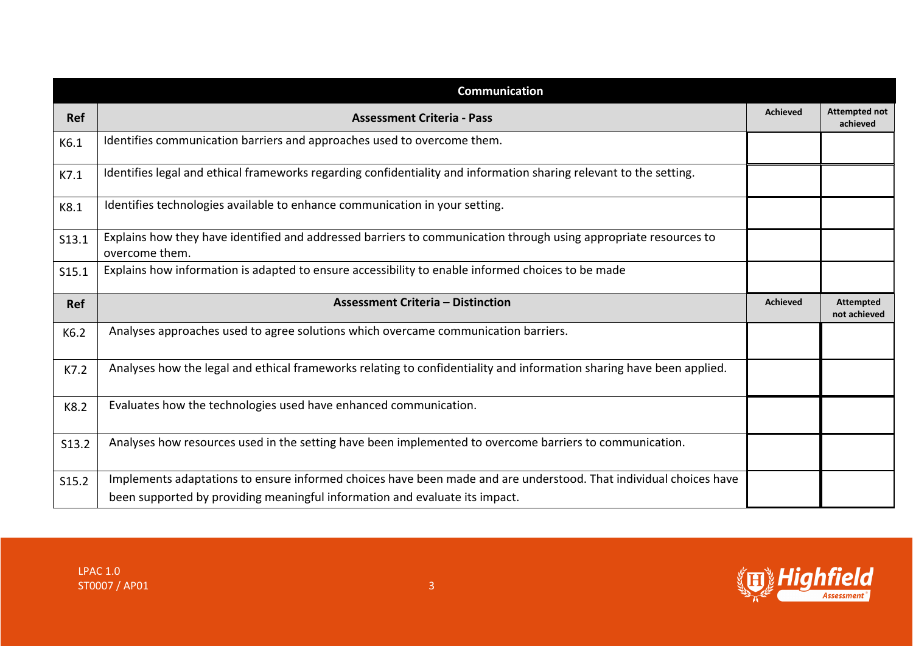|            | <b>Communication</b>                                                                                                               |                 |                                  |
|------------|------------------------------------------------------------------------------------------------------------------------------------|-----------------|----------------------------------|
| <b>Ref</b> | <b>Assessment Criteria - Pass</b>                                                                                                  | <b>Achieved</b> | <b>Attempted not</b><br>achieved |
| K6.1       | Identifies communication barriers and approaches used to overcome them.                                                            |                 |                                  |
| K7.1       | Identifies legal and ethical frameworks regarding confidentiality and information sharing relevant to the setting.                 |                 |                                  |
| K8.1       | Identifies technologies available to enhance communication in your setting.                                                        |                 |                                  |
| S13.1      | Explains how they have identified and addressed barriers to communication through using appropriate resources to<br>overcome them. |                 |                                  |
| S15.1      | Explains how information is adapted to ensure accessibility to enable informed choices to be made                                  |                 |                                  |
|            |                                                                                                                                    |                 |                                  |
| <b>Ref</b> | <b>Assessment Criteria - Distinction</b>                                                                                           | <b>Achieved</b> | <b>Attempted</b><br>not achieved |
| K6.2       | Analyses approaches used to agree solutions which overcame communication barriers.                                                 |                 |                                  |
| K7.2       | Analyses how the legal and ethical frameworks relating to confidentiality and information sharing have been applied.               |                 |                                  |
| K8.2       | Evaluates how the technologies used have enhanced communication.                                                                   |                 |                                  |
| S13.2      | Analyses how resources used in the setting have been implemented to overcome barriers to communication.                            |                 |                                  |
| S15.2      | Implements adaptations to ensure informed choices have been made and are understood. That individual choices have                  |                 |                                  |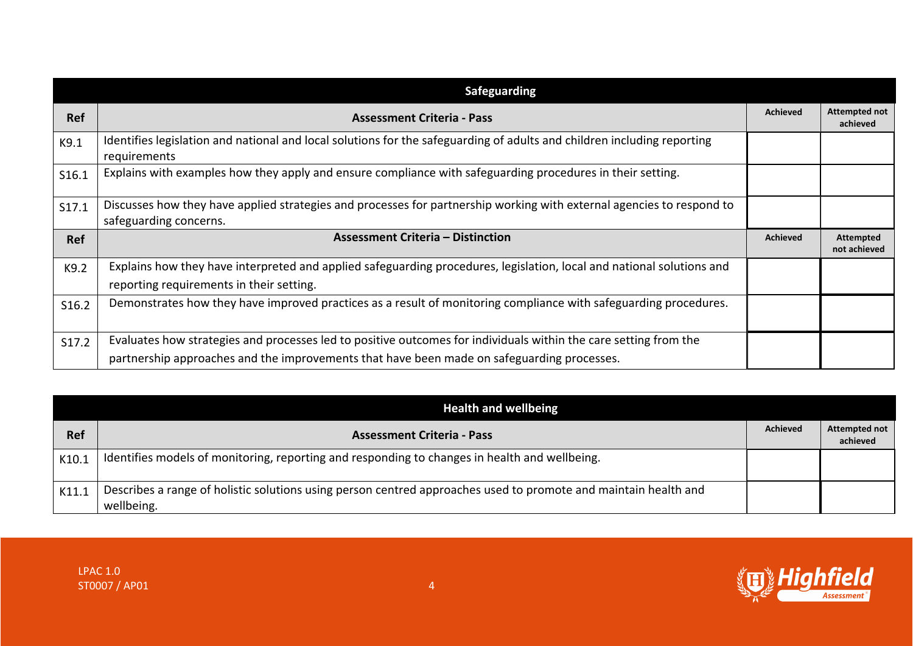|            | <b>Safeguarding</b>                                                                                                                                                                                            |                 |                                  |
|------------|----------------------------------------------------------------------------------------------------------------------------------------------------------------------------------------------------------------|-----------------|----------------------------------|
| <b>Ref</b> | <b>Assessment Criteria - Pass</b>                                                                                                                                                                              | <b>Achieved</b> | <b>Attempted not</b><br>achieved |
| K9.1       | Identifies legislation and national and local solutions for the safeguarding of adults and children including reporting<br>requirements                                                                        |                 |                                  |
| S16.1      | Explains with examples how they apply and ensure compliance with safeguarding procedures in their setting.                                                                                                     |                 |                                  |
| S17.1      | Discusses how they have applied strategies and processes for partnership working with external agencies to respond to<br>safeguarding concerns.                                                                |                 |                                  |
| <b>Ref</b> | <b>Assessment Criteria - Distinction</b>                                                                                                                                                                       | <b>Achieved</b> | Attempted<br>not achieved        |
| K9.2       | Explains how they have interpreted and applied safeguarding procedures, legislation, local and national solutions and<br>reporting requirements in their setting.                                              |                 |                                  |
| S16.2      | Demonstrates how they have improved practices as a result of monitoring compliance with safeguarding procedures.                                                                                               |                 |                                  |
| S17.2      | Evaluates how strategies and processes led to positive outcomes for individuals within the care setting from the<br>partnership approaches and the improvements that have been made on safeguarding processes. |                 |                                  |

|       | <b>Health and wellbeing</b>                                                                                                   |                 |                                  |
|-------|-------------------------------------------------------------------------------------------------------------------------------|-----------------|----------------------------------|
| Ref   | <b>Assessment Criteria - Pass</b>                                                                                             | <b>Achieved</b> | <b>Attempted not</b><br>achieved |
| K10.1 | Identifies models of monitoring, reporting and responding to changes in health and wellbeing.                                 |                 |                                  |
| K11.1 | Describes a range of holistic solutions using person centred approaches used to promote and maintain health and<br>wellbeing. |                 |                                  |

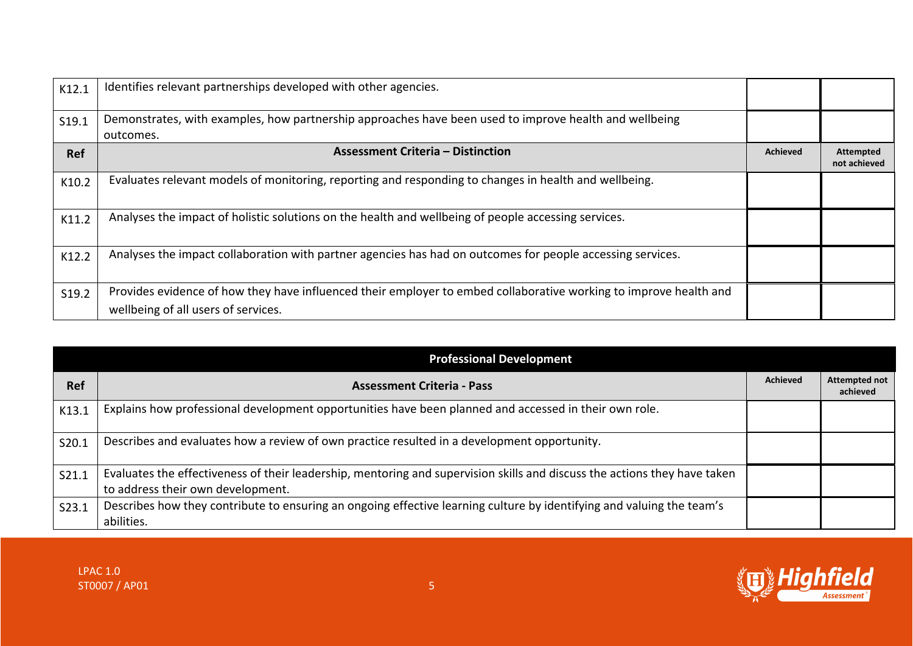| K12.1 | Identifies relevant partnerships developed with other agencies.                                                                                          |                 |                           |
|-------|----------------------------------------------------------------------------------------------------------------------------------------------------------|-----------------|---------------------------|
| S19.1 | Demonstrates, with examples, how partnership approaches have been used to improve health and wellbeing<br>outcomes.                                      |                 |                           |
| Ref   | <b>Assessment Criteria - Distinction</b>                                                                                                                 | <b>Achieved</b> | Attempted<br>not achieved |
| K10.2 | Evaluates relevant models of monitoring, reporting and responding to changes in health and wellbeing.                                                    |                 |                           |
| K11.2 | Analyses the impact of holistic solutions on the health and wellbeing of people accessing services.                                                      |                 |                           |
| K12.2 | Analyses the impact collaboration with partner agencies has had on outcomes for people accessing services.                                               |                 |                           |
| S19.2 | Provides evidence of how they have influenced their employer to embed collaborative working to improve health and<br>wellbeing of all users of services. |                 |                           |

| <b>Professional Development</b> |                                                                                                                                                                |                 |                                  |
|---------------------------------|----------------------------------------------------------------------------------------------------------------------------------------------------------------|-----------------|----------------------------------|
| <b>Ref</b>                      | <b>Assessment Criteria - Pass</b>                                                                                                                              | <b>Achieved</b> | <b>Attempted not</b><br>achieved |
| K13.1                           | Explains how professional development opportunities have been planned and accessed in their own role.                                                          |                 |                                  |
| S20.1                           | Describes and evaluates how a review of own practice resulted in a development opportunity.                                                                    |                 |                                  |
| S21.1                           | Evaluates the effectiveness of their leadership, mentoring and supervision skills and discuss the actions they have taken<br>to address their own development. |                 |                                  |
| S23.1                           | Describes how they contribute to ensuring an ongoing effective learning culture by identifying and valuing the team's<br>abilities.                            |                 |                                  |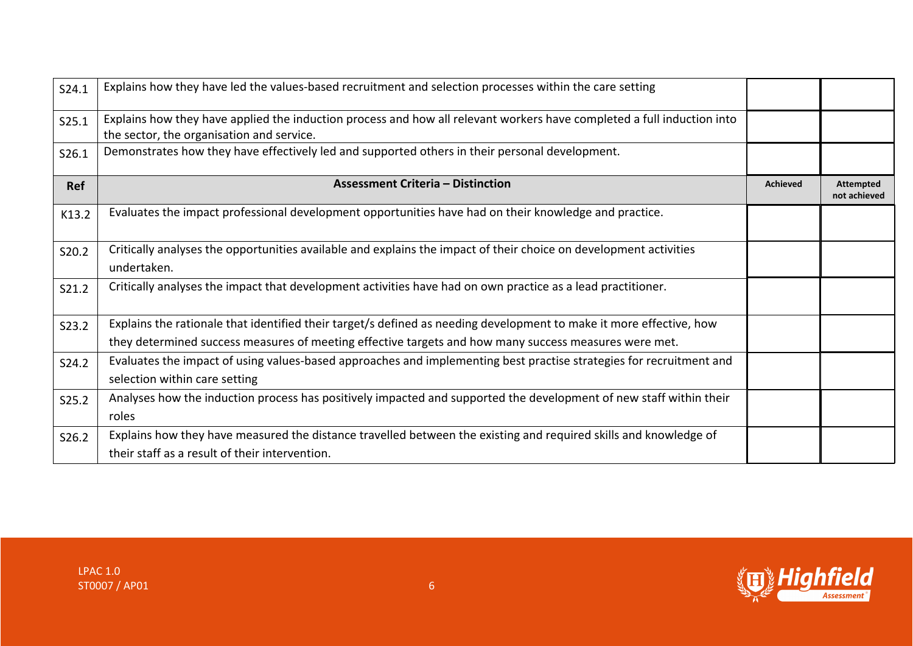| S24.1 | Explains how they have led the values-based recruitment and selection processes within the care setting                                                             |                 |                                  |
|-------|---------------------------------------------------------------------------------------------------------------------------------------------------------------------|-----------------|----------------------------------|
| S25.1 | Explains how they have applied the induction process and how all relevant workers have completed a full induction into<br>the sector, the organisation and service. |                 |                                  |
| S26.1 | Demonstrates how they have effectively led and supported others in their personal development.                                                                      |                 |                                  |
| Ref   | <b>Assessment Criteria – Distinction</b>                                                                                                                            | <b>Achieved</b> | <b>Attempted</b><br>not achieved |
| K13.2 | Evaluates the impact professional development opportunities have had on their knowledge and practice.                                                               |                 |                                  |
| S20.2 | Critically analyses the opportunities available and explains the impact of their choice on development activities<br>undertaken.                                    |                 |                                  |
| S21.2 | Critically analyses the impact that development activities have had on own practice as a lead practitioner.                                                         |                 |                                  |
| S23.2 | Explains the rationale that identified their target/s defined as needing development to make it more effective, how                                                 |                 |                                  |
|       | they determined success measures of meeting effective targets and how many success measures were met.                                                               |                 |                                  |
| S24.2 | Evaluates the impact of using values-based approaches and implementing best practise strategies for recruitment and                                                 |                 |                                  |
|       | selection within care setting                                                                                                                                       |                 |                                  |
| S25.2 | Analyses how the induction process has positively impacted and supported the development of new staff within their                                                  |                 |                                  |
|       | roles                                                                                                                                                               |                 |                                  |
| S26.2 | Explains how they have measured the distance travelled between the existing and required skills and knowledge of                                                    |                 |                                  |
|       | their staff as a result of their intervention.                                                                                                                      |                 |                                  |